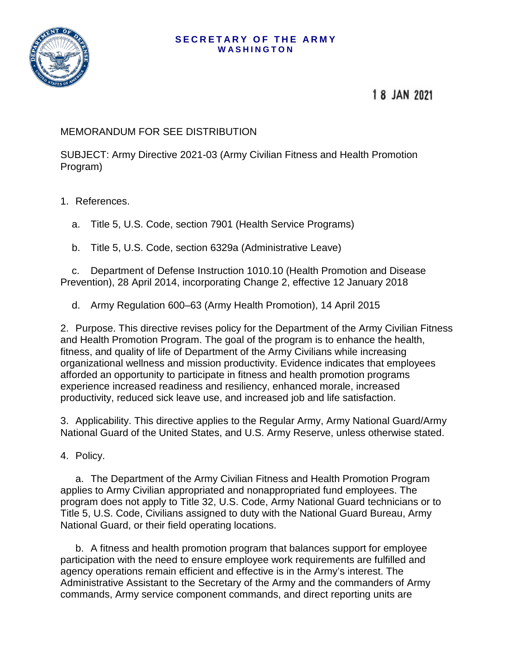## **SECRETARY OF THE ARMY WASHINGTON**



## 18 JAN 2021

## MEMORANDUM FOR SEE DISTRIBUTION

SUBJECT: Army Directive 2021-03 (Army Civilian Fitness and Health Promotion Program)

## 1. References.

a. Title 5, U.S. Code, section 7901 (Health Service Programs)

b. Title 5, U.S. Code, section 6329a (Administrative Leave)

c. Department of Defense Instruction 1010.10 (Health Promotion and Disease Prevention), 28 April 2014, incorporating Change 2, effective 12 January 2018

d. Army Regulation 600–63 (Army Health Promotion), 14 April 2015

2. Purpose. This directive revises policy for the Department of the Army Civilian Fitness and Health Promotion Program. The goal of the program is to enhance the health, fitness, and quality of life of Department of the Army Civilians while increasing organizational wellness and mission productivity. Evidence indicates that employees afforded an opportunity to participate in fitness and health promotion programs experience increased readiness and resiliency, enhanced morale, increased productivity, reduced sick leave use, and increased job and life satisfaction.

3. Applicability. This directive applies to the Regular Army, Army National Guard/Army National Guard of the United States, and U.S. Army Reserve, unless otherwise stated.

4. Policy.

a. The Department of the Army Civilian Fitness and Health Promotion Program applies to Army Civilian appropriated and nonappropriated fund employees. The program does not apply to Title 32, U.S. Code, Army National Guard technicians or to Title 5, U.S. Code, Civilians assigned to duty with the National Guard Bureau, Army National Guard, or their field operating locations.

b. A fitness and health promotion program that balances support for employee participation with the need to ensure employee work requirements are fulfilled and agency operations remain efficient and effective is in the Army's interest. The Administrative Assistant to the Secretary of the Army and the commanders of Army commands, Army service component commands, and direct reporting units are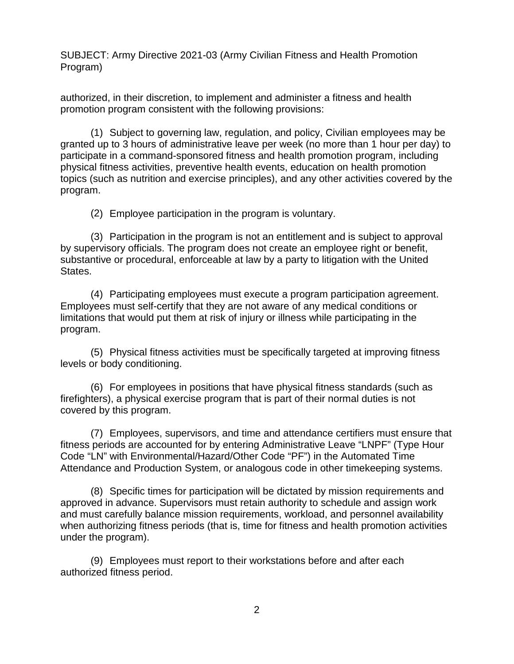SUBJECT: Army Directive 2021-03 (Army Civilian Fitness and Health Promotion Program)

authorized, in their discretion, to implement and administer a fitness and health promotion program consistent with the following provisions:

(1) Subject to governing law, regulation, and policy, Civilian employees may be granted up to 3 hours of administrative leave per week (no more than 1 hour per day) to participate in a command-sponsored fitness and health promotion program, including physical fitness activities, preventive health events, education on health promotion topics (such as nutrition and exercise principles), and any other activities covered by the program.

(2) Employee participation in the program is voluntary.

(3) Participation in the program is not an entitlement and is subject to approval by supervisory officials. The program does not create an employee right or benefit, substantive or procedural, enforceable at law by a party to litigation with the United States.

(4) Participating employees must execute a program participation agreement. Employees must self-certify that they are not aware of any medical conditions or limitations that would put them at risk of injury or illness while participating in the program.

(5) Physical fitness activities must be specifically targeted at improving fitness levels or body conditioning.

(6) For employees in positions that have physical fitness standards (such as firefighters), a physical exercise program that is part of their normal duties is not covered by this program.

(7) Employees, supervisors, and time and attendance certifiers must ensure that fitness periods are accounted for by entering Administrative Leave "LNPF" (Type Hour Code "LN" with Environmental/Hazard/Other Code "PF") in the Automated Time Attendance and Production System, or analogous code in other timekeeping systems.

(8) Specific times for participation will be dictated by mission requirements and approved in advance. Supervisors must retain authority to schedule and assign work and must carefully balance mission requirements, workload, and personnel availability when authorizing fitness periods (that is, time for fitness and health promotion activities under the program).

(9) Employees must report to their workstations before and after each authorized fitness period.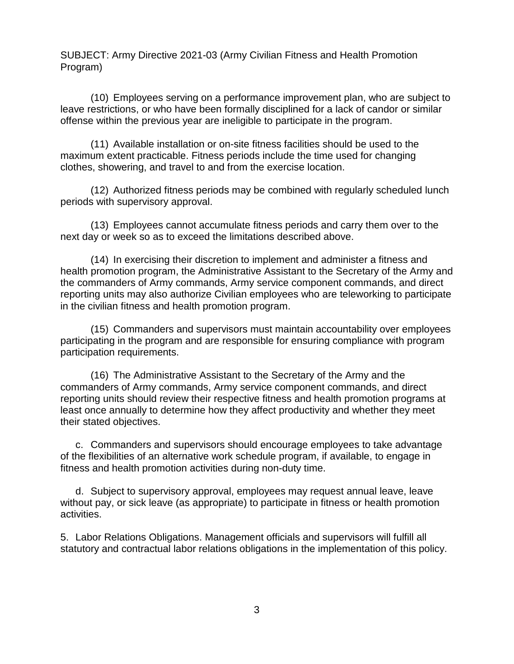SUBJECT: Army Directive 2021-03 (Army Civilian Fitness and Health Promotion Program)

(10) Employees serving on a performance improvement plan, who are subject to leave restrictions, or who have been formally disciplined for a lack of candor or similar offense within the previous year are ineligible to participate in the program.

(11) Available installation or on-site fitness facilities should be used to the maximum extent practicable. Fitness periods include the time used for changing clothes, showering, and travel to and from the exercise location.

(12) Authorized fitness periods may be combined with regularly scheduled lunch periods with supervisory approval.

(13) Employees cannot accumulate fitness periods and carry them over to the next day or week so as to exceed the limitations described above.

(14) In exercising their discretion to implement and administer a fitness and health promotion program, the Administrative Assistant to the Secretary of the Army and the commanders of Army commands, Army service component commands, and direct reporting units may also authorize Civilian employees who are teleworking to participate in the civilian fitness and health promotion program.

(15) Commanders and supervisors must maintain accountability over employees participating in the program and are responsible for ensuring compliance with program participation requirements.

(16) The Administrative Assistant to the Secretary of the Army and the commanders of Army commands, Army service component commands, and direct reporting units should review their respective fitness and health promotion programs at least once annually to determine how they affect productivity and whether they meet their stated objectives.

c. Commanders and supervisors should encourage employees to take advantage of the flexibilities of an alternative work schedule program, if available, to engage in fitness and health promotion activities during non-duty time.

d. Subject to supervisory approval, employees may request annual leave, leave without pay, or sick leave (as appropriate) to participate in fitness or health promotion activities.

5. Labor Relations Obligations. Management officials and supervisors will fulfill all statutory and contractual labor relations obligations in the implementation of this policy.